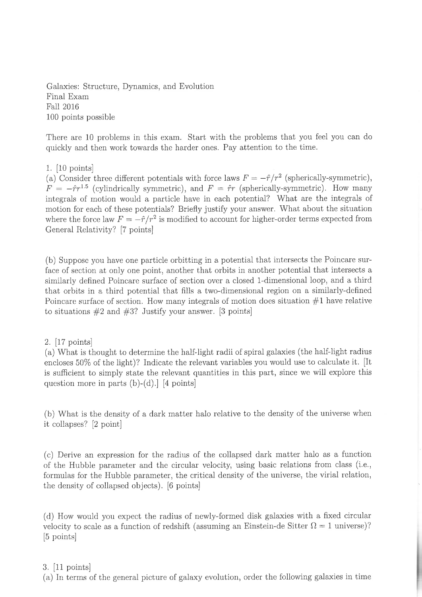Galaxies: Structure, Dynamics, and Bvolution Final Exam Fall 2016 100 points possible

There are 10 problems in this exam. Start with the problems that you feel you can do quickly and then work towards the harder ones. Pay attention to the time,

1. [10 points]

(a) Consider three different potentials with force laws  $F = -\hat{r}/r^2$  (spherically-symmetric),  $F = -\hat{r}r^{1.5}$  (cylindrically symmetric), and  $F = \hat{r}r$  (spherically-symmetric). How many integrals of motion would a particle have in each potential? What are the integrals of motion for each of these potentials? Briefly justify your answer. What about the situation where the force law  $F = -\hat{r}/r^2$  is modified to account for higher-order terms expected from General Relativity? [7 points]

(b) Suppose you have one particle orbitting in a potential that intersects the Poincare surface of section at only one point, another that orbits in another potential that intersects a similariy defined Poincare surface of section over a closed 1-dimensional loop, and a third that orbits in a third potential that fills a two-dimensional region on a similarly-defined Poincare surface of section. How many integrals of motion does situation  $#1$  have relative to situations  $#2$  and  $#3$ ? Justify your answer. [3 points]

# 2, 117 pointsl

(a) What is thought to determine the half-light radii of spiral galaxies (the half-light radius encloses 50% of the light)? Indicate the relevant variables you would use to calculate it. [It is sufficient to simply state the relevant quantities in this part, since we will explore this question more in parts  $(b)-(d)$ . [4 points]

(b) What is the density of a dark matter halo relative to the density of the universe when it collapses? [2 point]

(c) Derive an expression for the radius of the collapsed dark matter halo as a function of the Hubble parameter and the circular velocity, using basic relations from class (i.e., formulas for the Hubble parameter, the critical density of the universe, the virial relation, the density of collapsed objects). [6 points]

(d) How would you expect the radius of newly-formed disk galaxies with a fixed circular velocity to scale as a function of redshift (assuming an Einstein-de Sitter  $\Omega = 1$  universe)? [5 points]

## 3. [11 points]

(a) In terms of the general picture of galaxy evolution, order the following galaxies in time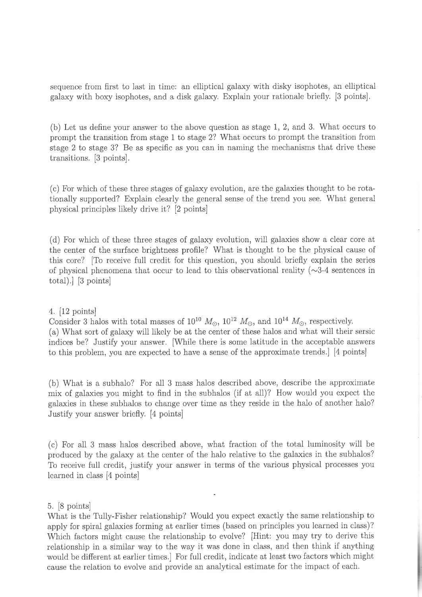sequence from first to last in time: an elliptical galaxy with disky isophotes, an elliptical galaxy with boxy isophotes, and a disk galaxy, Explain your rationale briefly. [3 points].

(b) Let us define your answer to the above question as stage L, 2, and 3. What occurs to prompt the transition from stage 1 to stage 2? What occurs to prompt the transition from stage 2 to stage 3? Be as specific as you can in naming the mechanisms that drive these transitions. [3 points].

(c) For which of these three stages of galaxy evolution, are the galaxies thought to be rotationally supported? Explain clearly the general sense of the trend you see. What general physical principles likely drive it? [2 points]

(d) For which of these three stages of galaxy evolution, wiil galaxies show a clear core at the center of the surface brightness profile? What is thought to be the physical cause of this core? [To receive full credit for this question, you should briefly explain the series of physical phenomena that occur to lead to this observational reality  $(\sim]3-4$  sentences in total).  $[3 \text{ points}]$ 

## 4. [12 points]

Consider 3 halos with total masses of  $10^{10}$   $M_{\odot}$ ,  $10^{12}$   $M_{\odot}$ , and  $10^{14}$   $M_{\odot}$ , respectively. (a) What sort of galaxy will likely be at the center of these halos and what will their sersic indices be? Justify your answer. [While there is some latitude in the acceptable answers to this problem, you are expected to have a sense of the approximate trends.] [4 points]

(b) What is a subhalo? For all 3 mass halos described above, describe the approximate mix of galaxies you might to find in the subhalos (if at all)? How would you expect the galaxies in these subhalos to change over time as they reside in the halo of another halo? Justify your answer briefly. [4 points]

(c) For all 3 mass halos described above, what fraction of the total luminosity will be produced by the galaxy at the center of the halo relative to the galaxies in the subhalos? To receive full credit, justify your answer in terms of the various physical processes you learned in class [4 points]

### 5. [8 points]

What is the Tully-Fisher relationship? Would you expect exactly the same relationship to apply for spirai galaxies forming at earlier times (based on principles you learned in class)? Which factors might cause the relationship to evolve? [Hint: you may try to derive this relationship in a similar way to the way it was done in class, and then think if anything would be different at earlier times.] For full credit, indicate at least two factors which might cause the relation to evolve and provide an analytical estimate for the impact of each.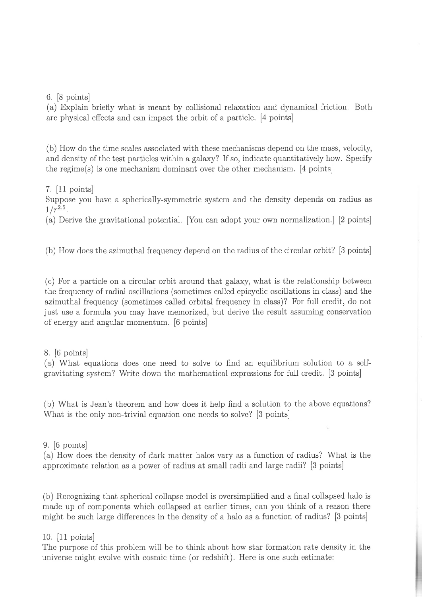6. [8 points]

(a) Explain briefly what is meant by collisional relaxation and dynamical friction, Both are physical effects and can impact the orbit of a particle. [a points]

(b) How do the time scales associated with these mechanisms depend on the mass, velocity, and density of the test particles within a galaxy? If so, indicate quantitatively how, Specify the regime(s) is one mechanism dominant over the other mechanism. [4 points]

7.  $|11 \text{ points}|$ 

Suppose you have a spherically-symmetric system and the density depends on radius as  $1/r^{2.5}$ .

(a) Derive the gravitational potential. [You can adopt your own normalization.] [2 points]

(b) How does the azimuthal frequency depend on the radius of the circular orbit? [3 points]

(c) For a particle on a circular orbit around that galaxy, what is the relationship between the frequency of radial oscillations (sometimes called epicyclic oscillations in class) and the azimuthal frequency (sometimes called orbital frequency in class)? For full credit, do not just use a formula you may have memorízed, but derive the result assuming conservation of energy and angular momentum. [6 points]

## 8. [6 points]

(a) What equations does one need to solve to find an equilibrium solution to a selfgravitating system? Write down the mathematical expressions for full credit. [3 points]

(b) What is Jean's theorem and how does it help find a solution to the above equations? What is the only non-trivial equation one needs to solve? [3 points]

9. [6 points]

(a) How does the density of dark matter halos vary as a function of radius? What is the approximate relation as a power of radius at small radii and large radii? [3 points]

(b) Recognizing that spherical collapse model is oversimplified and a final collapsed halo is made up of components which collapsed at earlier times, can you think of a reason there might be such large differences in the density of a halo as a function of radius? [3 points]

## 10. [11 points]

The purpose of this problem will be to think about how star formation rate density in the universe might evolve with cosmic time (or redshift), Here is one such estimate: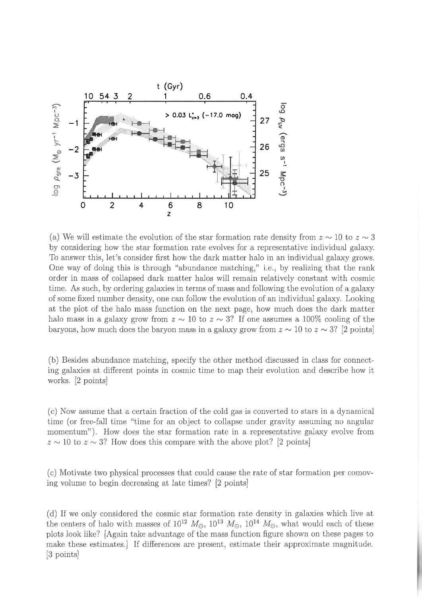

(a) We will estimate the evolution of the star formation rate density from  $z \sim 10$  to  $z \sim 3$ by considering how the star formation rate evolves for a representative individual galaxy. To answer this, let's consider first how the dark matter halo in an individual galaxy grows. One way of doing this is through "abundance matching," i.e. , by realizing that the rank order in mass of collapsed dark matter halos will remain relatively constant with cosmic time, As such, by ordering galaxies in terms of mass and following the evolution of a galaxy of some fixed number density, one can follow the evoiution of an individual galaxy. Looking at the plot of the halo mass function on the next page, how much does the dark matter halo mass in a galaxy grow from  $z \sim 10$  to  $z \sim 3$ ? If one assumes a 100% cooling of the baryons, how much does the baryon mass in a galaxy grow from  $z \sim 10$  to  $z \sim 3$ ? [2 points]

(b) Besides abundance matching, specify the other method discussed in class for connecting galaxies at different points in cosmic time to map their evolution and describe how it works. [2 points]

(c) Now assume that a certain fraction of the cold gas is converted to stars in a dynamical time (or free-fall time "time for an object to collapse under gravity assuming no angular momentum"). How does the star formation rate in a representative galaxy evolve from  $z \sim 10$  to  $z \sim 3$ ? How does this compare with the above plot? [2 points]

(c) Motivate two physical processes that could cause the rate of star formation per comoving volume to begin decreasing at late times? [2 points]

(d) If we only considered the cosmic star formation rate density in galaxies which live at the centers of halo with masses of  $10^{12} M_{\odot}$ ,  $10^{13} M_{\odot}$ ,  $10^{14} M_{\odot}$ , what would each of these plots look like? [Again take advantage of the mass function figure shown on these pages to make these estimates,] If differences are present, estimate their approximate magnitude. [3 points]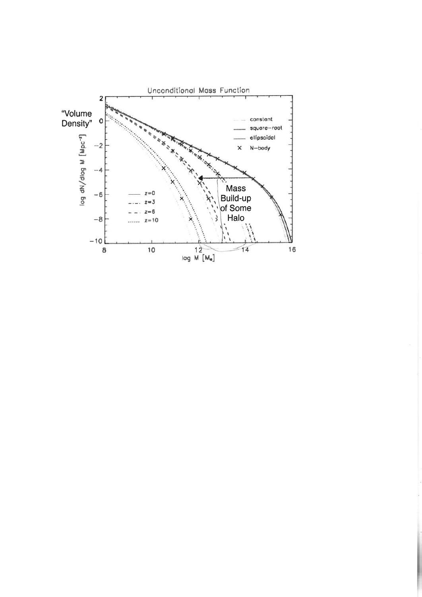